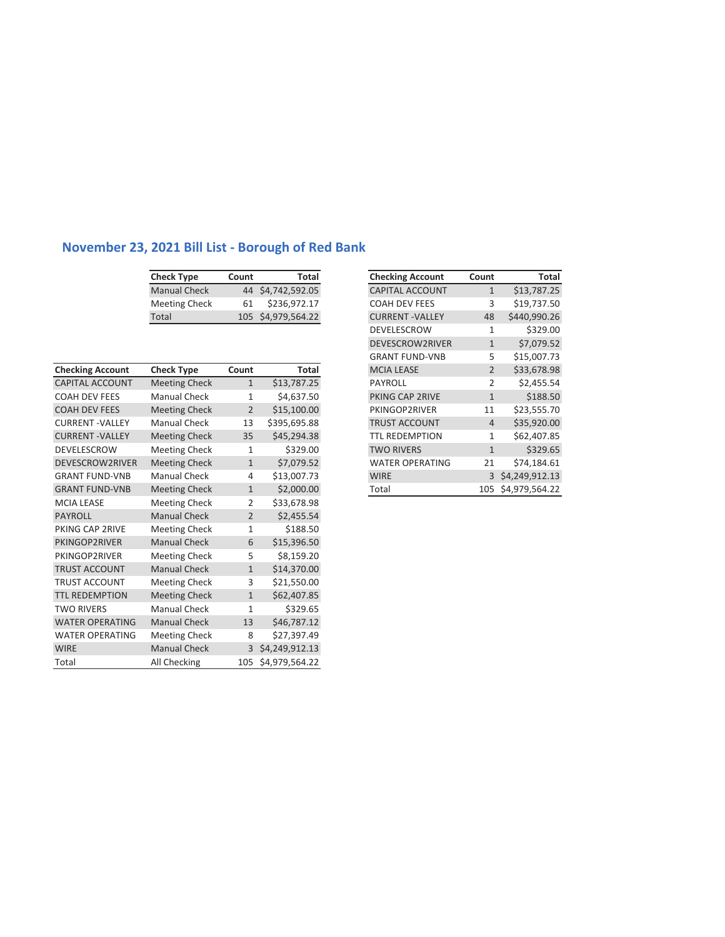| <b>Check Type</b>    | Count | Total              |
|----------------------|-------|--------------------|
| <b>Manual Check</b>  |       | 44 \$4,742,592.05  |
| <b>Meeting Check</b> | 61    | \$236,972.17       |
| Total                |       | 105 \$4,979,564.22 |

| <b>Checking Account</b> | <b>Check Type</b>    | Count          | <b>Total</b>   | <b>MCIA LEASE</b>      | $\overline{2}$ | \$33,678.98      |
|-------------------------|----------------------|----------------|----------------|------------------------|----------------|------------------|
| <b>CAPITAL ACCOUNT</b>  | <b>Meeting Check</b> | $\mathbf{1}$   | \$13,787.25    | <b>PAYROLL</b>         | $\overline{2}$ | \$2,455.54       |
| <b>COAH DEV FEES</b>    | <b>Manual Check</b>  | 1              | \$4,637.50     | PKING CAP 2RIVE        | $\mathbf{1}$   | \$188.50         |
| <b>COAH DEV FEES</b>    | <b>Meeting Check</b> | $\overline{2}$ | \$15,100.00    | PKINGOP2RIVER          | 11             | \$23,555.70      |
| <b>CURRENT-VALLEY</b>   | Manual Check         | 13             | \$395,695.88   | <b>TRUST ACCOUNT</b>   | $\overline{4}$ | \$35,920.00      |
| <b>CURRENT-VALLEY</b>   | <b>Meeting Check</b> | 35             | \$45,294.38    | <b>TTL REDEMPTION</b>  | 1              | \$62,407.85      |
| DEVELESCROW             | <b>Meeting Check</b> | 1              | \$329.00       | <b>TWO RIVERS</b>      | $\mathbf{1}$   | \$329.65         |
| DEVESCROW2RIVER         | <b>Meeting Check</b> | $\mathbf{1}$   | \$7,079.52     | <b>WATER OPERATING</b> | 21             | \$74,184.61      |
| <b>GRANT FUND-VNB</b>   | Manual Check         | 4              | \$13,007.73    | <b>WIRE</b>            |                | 3 \$4,249,912.13 |
| <b>GRANT FUND-VNB</b>   | <b>Meeting Check</b> | $\mathbf{1}$   | \$2,000.00     | Total                  | 105            | \$4,979,564.22   |
| <b>MCIA LEASE</b>       | <b>Meeting Check</b> | $\overline{2}$ | \$33,678.98    |                        |                |                  |
| <b>PAYROLL</b>          | <b>Manual Check</b>  | $\overline{2}$ | \$2,455.54     |                        |                |                  |
| <b>PKING CAP 2RIVE</b>  | <b>Meeting Check</b> | 1              | \$188.50       |                        |                |                  |
| PKINGOP2RIVER           | <b>Manual Check</b>  | 6              | \$15,396.50    |                        |                |                  |
| PKINGOP2RIVER           | <b>Meeting Check</b> | 5              | \$8,159.20     |                        |                |                  |
| <b>TRUST ACCOUNT</b>    | <b>Manual Check</b>  | 1              | \$14,370.00    |                        |                |                  |
| <b>TRUST ACCOUNT</b>    | <b>Meeting Check</b> | 3              | \$21,550.00    |                        |                |                  |
| <b>TTL REDEMPTION</b>   | <b>Meeting Check</b> | $\mathbf{1}$   | \$62,407.85    |                        |                |                  |
| <b>TWO RIVERS</b>       | <b>Manual Check</b>  | 1              | \$329.65       |                        |                |                  |
| <b>WATER OPERATING</b>  | <b>Manual Check</b>  | 13             | \$46,787.12    |                        |                |                  |
| <b>WATER OPERATING</b>  | Meeting Check        | 8              | \$27,397.49    |                        |                |                  |
| <b>WIRE</b>             | <b>Manual Check</b>  | 3              | \$4,249,912.13 |                        |                |                  |
| Total                   | All Checking         | 105            | \$4,979,564.22 |                        |                |                  |

| <b>Check Type</b>    | Count          | Total          | <b>Checking Account</b> | Count          | Total          |
|----------------------|----------------|----------------|-------------------------|----------------|----------------|
| <b>Manual Check</b>  | 44             | \$4,742,592.05 | <b>CAPITAL ACCOUNT</b>  | $\mathbf{1}$   | \$13,787.25    |
| <b>Meeting Check</b> | 61             | \$236,972.17   | <b>COAH DEV FEES</b>    | 3              | \$19,737.50    |
| Total                | 105            | \$4,979,564.22 | <b>CURRENT-VALLEY</b>   | 48             | \$440,990.26   |
|                      |                |                | <b>DEVELESCROW</b>      | 1              | \$329.00       |
|                      |                |                | <b>DEVESCROW2RIVER</b>  | $\mathbf{1}$   | \$7,079.52     |
|                      |                |                | <b>GRANT FUND-VNB</b>   | 5              | \$15,007.73    |
| <b>Check Type</b>    | Count          | Total          | <b>MCIA LEASE</b>       | $\overline{2}$ | \$33,678.98    |
| <b>Meeting Check</b> | $\mathbf{1}$   | \$13,787.25    | <b>PAYROLL</b>          | $\overline{2}$ | \$2,455.54     |
| <b>Manual Check</b>  | 1              | \$4,637.50     | PKING CAP 2RIVE         | $\mathbf{1}$   | \$188.50       |
| <b>Meeting Check</b> | $\overline{2}$ | \$15,100.00    | PKINGOP2RIVER           | 11             | \$23,555.70    |
| <b>Manual Check</b>  | 13             | \$395,695.88   | <b>TRUST ACCOUNT</b>    | $\overline{4}$ | \$35,920.00    |
| <b>Meeting Check</b> | 35             | \$45,294.38    | <b>TTL REDEMPTION</b>   | 1              | \$62,407.85    |
| <b>Meeting Check</b> | 1              | \$329.00       | <b>TWO RIVERS</b>       | $\mathbf{1}$   | \$329.65       |
| <b>Meeting Check</b> | $\mathbf{1}$   | \$7,079.52     | <b>WATER OPERATING</b>  | 21             | \$74,184.61    |
| <b>Manual Check</b>  | 4              | \$13,007.73    | <b>WIRE</b>             | 3              | \$4,249,912.13 |
| <b>Meeting Check</b> | $\mathbf{1}$   | \$2,000.00     | Total                   | 105            | \$4,979,564.22 |
|                      |                |                |                         |                |                |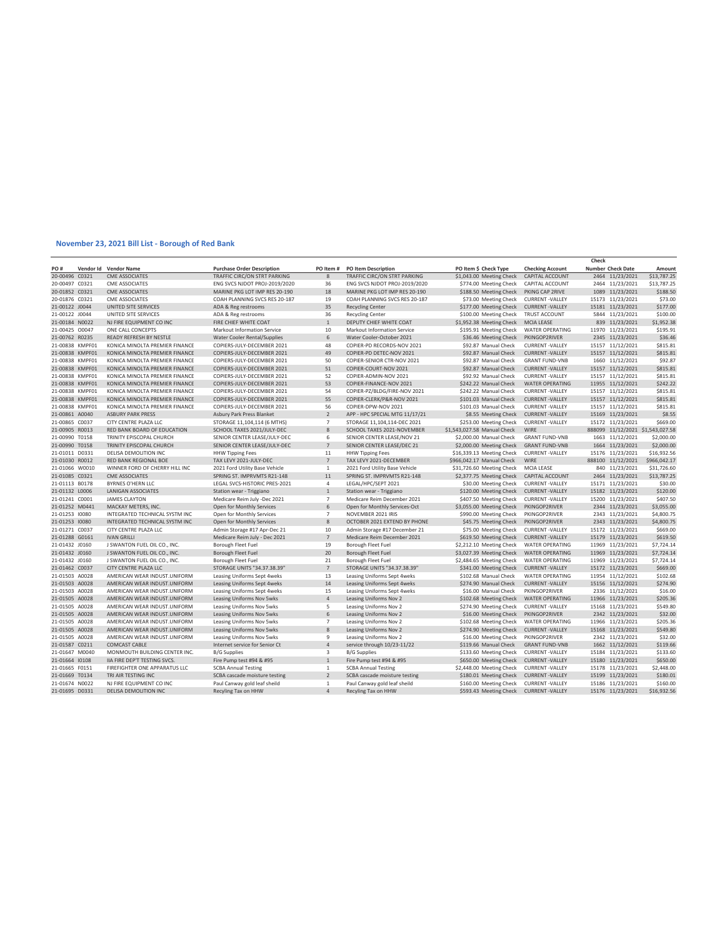|                 |           |                                |                                   |                                |                                      |                             |                         | Check                            |              |
|-----------------|-----------|--------------------------------|-----------------------------------|--------------------------------|--------------------------------------|-----------------------------|-------------------------|----------------------------------|--------------|
| PO#             | Vendor Id | <b>Vendor Name</b>             | <b>Purchase Order Description</b> | PO Item#                       | <b>PO Item Description</b>           | PO Item \$ Check Type       | <b>Checking Account</b> | <b>Number Check Date</b>         | Amount       |
| 20-00496 C0321  |           | <b>CME ASSOCIATES</b>          | TRAFFIC CIRC/ON STRT PARKING      | 8                              | TRAFFIC CIRC/ON STRT PARKING         | \$1,043.00 Meeting Check    | CAPITAL ACCOUNT         | 2464 11/23/2021                  | \$13,787.25  |
| 20-00497 C0321  |           | <b>CME ASSOCIATES</b>          | ENG SVCS NJDOT PROJ-2019/2020     | 36                             | ENG SVCS NJDOT PROJ-2019/2020        | \$774.00 Meeting Check      | CAPITAL ACCOUNT         | 2464 11/23/2021                  | \$13,787.25  |
| 20-01852 C0321  |           | <b>CME ASSOCIATES</b>          | MARINE PKG LOT IMP RES 20-190     | 18                             | MARINE PKG LOT IMP RES 20-190        | \$188.50 Meeting Check      | PKING CAP 2RIVE         | 1089 11/23/2021                  | \$188.50     |
| 20-01876 C0321  |           | <b>CME ASSOCIATES</b>          | COAH PLANNING SVCS RES 20-187     | 19                             | COAH PLANNING SVCS RES 20-187        | \$73.00 Meeting Check       | <b>CURRENT-VALLEY</b>   | 15173 11/23/2021                 | \$73.00      |
| 21-00122 J0044  |           | UNITED SITE SERVICES           | ADA & Reg restrooms               | 35                             | <b>Recycling Center</b>              | \$177.00 Meeting Check      | <b>CURRENT-VALLEY</b>   | 15181 11/23/2021                 | \$177.00     |
| 21-00122 J0044  |           | UNITED SITE SERVICES           | ADA & Reg restrooms               | 36                             | <b>Recycling Center</b>              | \$100.00 Meeting Check      | <b>TRUST ACCOUNT</b>    | 5844 11/23/2021                  | \$100.00     |
| 21-00184 N0022  |           | NJ FIRE EQUIPMENT CO INC       | FIRE CHIEF WHITE COAT             | $\mathbf{1}$                   | DEPUTY CHIEF WHITE COAT              | \$1,952.38 Meeting Check    | MCIA LEASE              | 839 11/23/2021                   | \$1,952.38   |
| 21-00425 00047  |           | ONE CALL CONCEPTS              | Markout Information Service       | 10                             | Markout Information Service          | \$195.91 Meeting Check      | <b>WATER OPERATING</b>  | 11970 11/23/2021                 | \$195.91     |
| 21-00762 R0235  |           | READY REFRESH BY NESTLE        | Water Cooler Rental/Supplies      | 6                              | Water Cooler-October 2021            | \$36.46 Meeting Check       | PKINGOP2RIVER           | 2345 11/23/2021                  | \$36.46      |
| 21-00838 KMPF01 |           | KONICA MINOLTA PREMIER FINANCE | COPIERS-JULY-DECEMBER 2021        | 48                             | COPIER-PD RECORDS-NOV 2021           | \$92.87 Manual Check        | <b>CURRENT-VALLEY</b>   | 15157 11/12/2021                 | \$815.81     |
| 21-00838 KMPF01 |           | KONICA MINOLTA PREMIER FINANCE | COPIERS-JULY-DECEMBER 2021        | 49                             | COPIER-PD DETEC-NOV 2021             | \$92.87 Manual Check        | <b>CURRENT - VALLEY</b> | 15157 11/12/2021                 | \$815.81     |
| 21-00838 KMPF01 |           | KONICA MINOLTA PREMIER FINANCE | COPIERS-JULY-DECEMBER 2021        | 50                             | COPIER-SENIOR CTR-NOV 2021           | \$92.87 Manual Check        | <b>GRANT FUND-VNB</b>   | 1660 11/12/2021                  | \$92.87      |
| 21-00838 KMPF01 |           | KONICA MINOLTA PREMIER FINANCE | COPIERS-JULY-DECEMBER 2021        | 51                             | COPIER-COURT-NOV 2021                | \$92.87 Manual Check        | <b>CURRENT - VALLEY</b> | 15157 11/12/2021                 | \$815.81     |
| 21-00838 KMPF01 |           | KONICA MINOLTA PREMIER FINANCE | COPIERS-JULY-DECEMBER 2021        | 52                             | COPIER-ADMIN-NOV 2021                | \$92.92 Manual Check        | <b>CURRENT-VALLEY</b>   | 15157 11/12/2021                 | \$815.81     |
| 21-00838 KMPF01 |           | KONICA MINOLTA PREMIER FINANCE | COPIERS-JULY-DECEMBER 2021        | 53                             | COPIER-FINANCE-NOV 2021              | \$242.22 Manual Check       | <b>WATER OPERATING</b>  | 11955 11/12/2021                 | \$242.22     |
| 21-00838 KMPF01 |           | KONICA MINOLTA PREMIER FINANCE | COPIERS-JULY-DECEMBER 2021        | 54                             | COPIER-PZ/BLDG/FIRE-NOV 2021         | \$242.22 Manual Check       | <b>CURRENT -VALLEY</b>  | 15157 11/12/2021                 | \$815.81     |
| 21-00838 KMPF01 |           | KONICA MINOLTA PREMIER FINANCE | COPIERS-JULY-DECEMBER 2021        | 55                             | COPIER-CLERK/P&R-NOV 2021            | \$101.03 Manual Check       | <b>CURRENT - VALLEY</b> | 15157 11/12/2021                 | \$815.81     |
| 21-00838 KMPF01 |           | KONICA MINOLTA PREMIER FINANCE | COPIERS-JULY-DECEMBER 2021        | 56                             | COPIER-DPW-NOV 2021                  | \$101.03 Manual Check       | <b>CURRENT-VALLEY</b>   | 15157 11/12/2021                 | \$815.81     |
| 21-00861 A0040  |           | <b>ASBURY PARK PRESS</b>       | Asbury Park Press Blanket         | $\overline{2}$                 | APP - HPC SPECIAL MTG 11/17/21       | \$8.55 Meeting Check        | <b>CURRENT-VALLEY</b>   | 15169 11/23/2021                 | \$8.55       |
| 21-00865 C0037  |           | CITY CENTRE PLAZA LLC          | STORAGE 11,104,114 (6 MTHS)       | $\overline{7}$                 | STORAGE 11,104,114-DEC 2021          | \$253.00 Meeting Check      | <b>CURRENT-VALLEY</b>   | 15172 11/23/2021                 | \$669.00     |
| 21-00905 R0013  |           | RED BANK BOARD OF EDUCATION    | SCHOOL TAXES 2021/JULY-DEC        | $\overline{8}$                 | SCHOOL TAXES 2021-NOVEMBER           | \$1,543,027.58 Manual Check | <b>WIRE</b>             | 888099 11/12/2021 \$1,543,027.58 |              |
| 21-00990 T0158  |           | TRINITY EPISCOPAL CHURCH       | SENIOR CENTER LEASE/JULY-DEC      | 6                              | SENIOR CENTER LEASE/NOV 21           | \$2,000.00 Manual Check     | <b>GRANT FUND-VNB</b>   | 1663 11/12/2021                  | \$2,000.00   |
| 21-00990 T0158  |           | TRINITY EPISCOPAL CHURCH       | SENIOR CENTER LEASE/JULY-DEC      | $\overline{7}$                 | SENIOR CENTER LEASE/DEC 21           | \$2,000.00 Meeting Check    | <b>GRANT FUND-VNB</b>   | 1664 11/23/2021                  | \$2,000.00   |
| 21-01011 D0331  |           | DELISA DEMOLITION INC          | <b>HHW Tipping Fees</b>           | 11                             | <b>HHW Tipping Fees</b>              | \$16,339.13 Meeting Check   | <b>CURRENT-VALLEY</b>   | 15176 11/23/2021                 | \$16,932.56  |
|                 |           |                                |                                   | $\overline{7}$                 |                                      |                             |                         |                                  |              |
| 21-01030 R0012  |           | RED BANK REGIONAL BOE          | TAX LEVY 2021-JULY-DEC            | $\mathbf{1}$                   | TAX LEVY 2021-DECEMBER               | \$966,042.17 Manual Check   | <b>WIRE</b>             | 888100 11/12/2021                | \$966,042.17 |
| 21-01066 W0010  |           | WINNER FORD OF CHERRY HILL INC | 2021 Ford Utility Base Vehicle    | 11                             | 2021 Ford Utility Base Vehicle       | \$31,726.60 Meeting Check   | MCIA LEASE              | 840 11/23/2021                   | \$31,726.60  |
| 21-01085 C0321  |           | <b>CME ASSOCIATES</b>          | SPRING ST. IMPRVMTS R21-148       |                                | SPRING ST. IMPRVMTS R21-148          | \$2,377.75 Meeting Check    | CAPITAL ACCOUNT         | 2464 11/23/2021                  | \$13,787.25  |
| 21-01113 B0178  |           | <b>BYRNES O'HERN LLC</b>       | LEGAL SVCS-HISTORIC PRES-2021     | $\overline{4}$                 | LEGAL/HPC/SEPT 2021                  | \$30.00 Meeting Check       | <b>CURRENT-VALLEY</b>   | 15171 11/23/2021                 | \$30.00      |
| 21-01132 L0006  |           | <b>LANIGAN ASSOCIATES</b>      | Station wear - Triggiano          | $\mathbf{1}$<br>$\overline{7}$ | Station wear - Triggiano             | \$120.00 Meeting Check      | <b>CURRENT-VALLEY</b>   | 15182 11/23/2021                 | \$120.00     |
| 21-01241 C0001  |           | <b>JAMES CLAYTON</b>           | Medicare Reim July -Dec 2021      |                                | Medicare Reim December 2021          | \$407.50 Meeting Check      | <b>CURRENT-VALLEY</b>   | 15200 11/23/2021                 | \$407.50     |
| 21-01252 M0441  |           | MACKAY METERS, INC.            | Open for Monthly Services         | 6                              | Open for Monthly Services-Oct        | \$3,055.00 Meeting Check    | PKINGOP2RIVER           | 2344 11/23/2021                  | \$3,055.00   |
| 21-01253 10080  |           | INTEGRATED TECHNICAL SYSTM INC | Open for Monthly Services         | $\overline{7}$                 | NOVEMBER 2021 IRIS                   | \$990.00 Meeting Check      | PKINGOP2RIVER           | 2343 11/23/2021                  | \$4,800.75   |
| 21-01253 10080  |           | INTEGRATED TECHNICAL SYSTM INC | Open for Monthly Services         | 8                              | OCTOBER 2021 EXTEND BY PHONE         | \$45.75 Meeting Check       | PKINGOP2RIVER           | 2343 11/23/2021                  | \$4,800.75   |
| 21-01271 C0037  |           | CITY CENTRE PLAZA LLC          | Admin Storage #17 Apr-Dec 21      | 10                             | Admin Storage #17 December 21        | \$75.00 Meeting Check       | <b>CURRENT-VALLEY</b>   | 15172 11/23/2021                 | \$669.00     |
| 21-01288 G0161  |           | <b>IVAN GRILLI</b>             | Medicare Reim July - Dec 2021     | $\overline{7}$                 | Medicare Reim December 2021          | \$619.50 Meeting Check      | <b>CURRENT-VALLEY</b>   | 15179 11/23/2021                 | \$619.50     |
| 21-01432 J0160  |           | J SWANTON FUEL OIL CO., INC.   | Borough Fleet Fuel                | 19                             | Borough Fleet Fuel                   | \$2,212.10 Meeting Check    | <b>WATER OPERATING</b>  | 11969 11/23/2021                 | \$7,724.14   |
| 21-01432 J0160  |           | J SWANTON FUEL OIL CO., INC.   | Borough Fleet Fuel                | 20                             | Borough Fleet Fuel                   | \$3,027.39 Meeting Check    | <b>WATER OPERATING</b>  | 11969 11/23/2021                 | \$7,724.14   |
| 21-01432 J0160  |           | J SWANTON FUEL OIL CO., INC.   | Borough Fleet Fuel                | 21                             | Borough Fleet Fuel                   | \$2,484.65 Meeting Check    | <b>WATER OPERATING</b>  | 11969 11/23/2021                 | \$7,724.14   |
| 21-01462 C0037  |           | CITY CENTRE PLAZA LLC          | STORAGE UNITS "34.37.38.39"       | $\overline{7}$                 | STORAGE UNITS "34.37.38.39"          | \$341.00 Meeting Check      | <b>CURRENT-VALLEY</b>   | 15172 11/23/2021                 | \$669.00     |
| 21-01503 A0028  |           | AMERICAN WEAR INDUST.UNIFORM   | Leasing Uniforms Sept 4weks       | 13                             | Leasing Uniforms Sept 4weks          | \$102.68 Manual Check       | <b>WATER OPERATING</b>  | 11954 11/12/2021                 | \$102.68     |
| 21-01503 A0028  |           | AMERICAN WEAR INDUST.UNIFORM   | Leasing Uniforms Sept 4weks       | 14                             | Leasing Uniforms Sept 4weks          | \$274.90 Manual Check       | <b>CURRENT - VALLEY</b> | 15156 11/12/2021                 | \$274.90     |
| 21-01503 A0028  |           | AMERICAN WEAR INDUST.UNIFORM   | Leasing Uniforms Sept 4weks       | 15                             | Leasing Uniforms Sept 4weks          | \$16.00 Manual Check        | PKINGOP2RIVER           | 2336 11/12/2021                  | \$16.00      |
| 21-01505 A0028  |           | AMERICAN WEAR INDUST.UNIFORM   | Leasing Uniforms Nov 5wks         | $\overline{4}$                 | Leasing Uniforms Nov 2               | \$102.68 Meeting Check      | <b>WATER OPERATING</b>  | 11966 11/23/2021                 | \$205.36     |
| 21-01505 A0028  |           | AMERICAN WEAR INDUST.UNIFORM   | Leasing Uniforms Nov 5wks         | 5                              | Leasing Uniforms Nov 2               | \$274.90 Meeting Check      | <b>CURRENT-VALLEY</b>   | 15168 11/23/2021                 | \$549.80     |
| 21-01505 A0028  |           | AMERICAN WEAR INDUST.UNIFORM   | Leasing Uniforms Nov 5wks         | 6                              | Leasing Uniforms Nov 2               | \$16.00 Meeting Check       | PKINGOP2RIVER           | 2342 11/23/2021                  | \$32.00      |
| 21-01505 A0028  |           | AMERICAN WEAR INDUST.UNIFORM   | Leasing Uniforms Nov 5wks         | $\overline{7}$                 | Leasing Uniforms Nov 2               | \$102.68 Meeting Check      | <b>WATER OPERATING</b>  | 11966 11/23/2021                 | \$205.36     |
| 21-01505 A0028  |           | AMERICAN WEAR INDUST.UNIFORM   | Leasing Uniforms Nov 5wks         | 8                              | Leasing Uniforms Nov 2               | \$274.90 Meeting Check      | <b>CURRENT-VALLEY</b>   | 15168 11/23/2021                 | \$549.80     |
| 21-01505 A0028  |           | AMERICAN WEAR INDUST.UNIFORM   | Leasing Uniforms Nov 5wks         | 9                              | Leasing Uniforms Nov 2               | \$16.00 Meeting Check       | PKINGOP2RIVER           | 2342 11/23/2021                  | \$32.00      |
| 21-01587 C0211  |           | <b>COMCAST CABLE</b>           | Internet service for Senior Ct    | $\overline{4}$                 | service through 10/23-11/22          | \$119.66 Manual Check       | <b>GRANT FUND-VNB</b>   | 1662 11/12/2021                  | \$119.66     |
| 21-01647 M0040  |           | MONMOUTH BUILDING CENTER INC.  | <b>B/G Supplies</b>               | 3                              | <b>B/G Supplies</b>                  | \$133.60 Meeting Check      | <b>CURRENT-VALLEY</b>   | 15184 11/23/2021                 | \$133.60     |
| 21-01664 10108  |           | IIA FIRE DEP'T TESTING SVCS.   | Fire Pump test #94 & #95          | $\mathbf{1}$                   | Fire Pump test #94 & #95             | \$650.00 Meeting Check      | <b>CURRENT-VALLEY</b>   | 15180 11/23/2021                 | \$650.00     |
| 21-01665 F0151  |           | FIREFIGHTER ONE APPARATUS LLC  | <b>SCBA Annual Testing</b>        | 1                              | <b>SCBA Annual Testing</b>           | \$2,448.00 Meeting Check    | <b>CURRENT - VALLEY</b> | 15178 11/23/2021                 | \$2,448.00   |
| 21-01669 T0134  |           | TRI AIR TESTING INC            | SCBA cascade moisture testing     | $\overline{2}$                 | <b>SCBA cascade moisture testing</b> | \$180.01 Meeting Check      | <b>CURRENT-VALLEY</b>   | 15199 11/23/2021                 | \$180.01     |
| 21-01674 N0022  |           | NJ FIRE EQUIPMENT CO INC       | Paul Canway gold leaf sheild      | $\mathbf{1}$                   | Paul Canway gold leaf sheild         | \$160.00 Meeting Check      | <b>CURRENT-VALLEY</b>   | 15186 11/23/2021                 | \$160.00     |
| 21-01695 D0331  |           | DELISA DEMOLITION INC          | Recyling Tax on HHW               | $\overline{4}$                 | Recyling Tax on HHW                  | \$593.43 Meeting Check      | <b>CURRENT-VALLEY</b>   | 15176 11/23/2021                 | \$16,932.56  |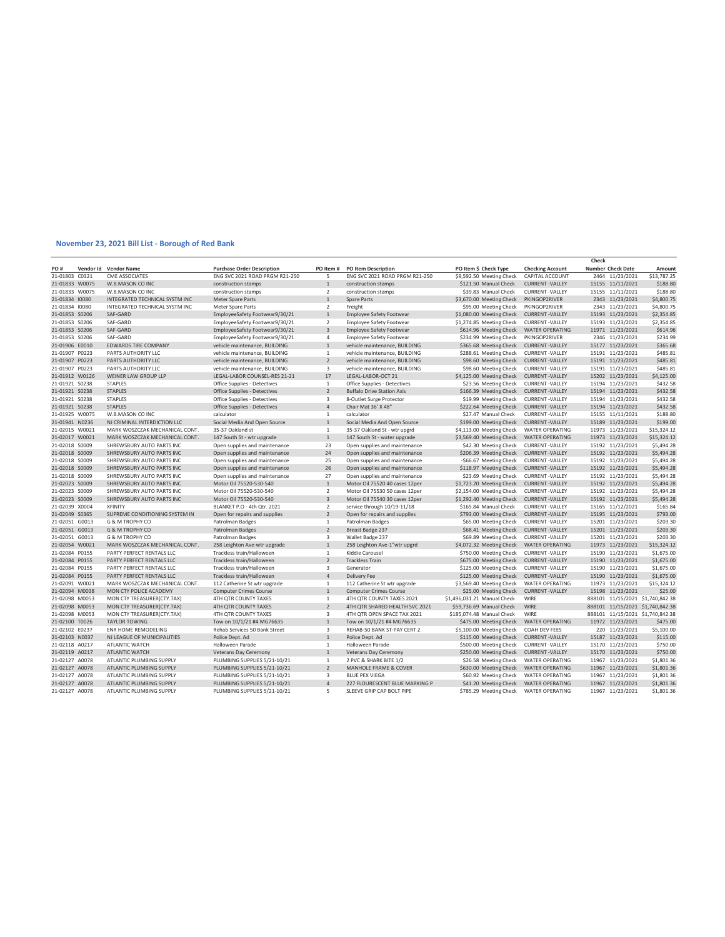|                                  |           |                                                      |                                                              |                         |                                                         |                                                    |                                                   | Check |                                      |                                  |
|----------------------------------|-----------|------------------------------------------------------|--------------------------------------------------------------|-------------------------|---------------------------------------------------------|----------------------------------------------------|---------------------------------------------------|-------|--------------------------------------|----------------------------------|
| PO#                              | Vendor Id | <b>Vendor Name</b>                                   | <b>Purchase Order Description</b>                            | PO Item#                | PO Item Description                                     | PO Item \$ Check Type                              | <b>Checking Account</b>                           |       | <b>Number Check Date</b>             | Amount                           |
| 21-01803                         | C0321     | <b>CME ASSOCIATES</b>                                | ENG SVC 2021 ROAD PRGM R21-250                               | 5                       | ENG SVC 2021 ROAD PRGM R21-250                          | \$9,592.50 Meeting Check                           | CAPITAL ACCOUNT                                   |       | 2464 11/23/2021                      | \$13,787.25                      |
| 21-01833 W0075                   |           | W.B.MASON CO INC                                     | construction stamps                                          | $\mathbf{1}$            | construction stamps                                     | \$121.50 Manual Check                              | <b>CURRENT-VALLEY</b>                             |       | 15155 11/11/2021                     | \$188.80                         |
| 21-01833 W0075                   |           | W.B.MASON CO INC                                     | construction stamps                                          | $\overline{2}$          | construction stamps                                     | \$39.83 Manual Check                               | <b>CURRENT-VALLEY</b>                             |       | 15155 11/11/2021                     | \$188.80                         |
| 21-01834 10080                   |           | INTEGRATED TECHNICAL SYSTM INC                       | Meter Spare Parts                                            | $\mathbf 1$             | Spare Parts                                             | \$3,670.00 Meeting Check                           | PKINGOP2RIVER                                     |       | 2343 11/23/2021                      | \$4,800.75                       |
| 21-01834 10080                   |           | INTEGRATED TECHNICAL SYSTM INC                       | Meter Spare Parts                                            | $\overline{2}$          | Freight                                                 | \$95.00 Meeting Check                              | PKINGOP2RIVER                                     |       | 2343 11/23/2021                      | \$4,800.75                       |
| 21-01853 S0206                   |           | SAF-GARD                                             | EmployeeSafety Footwear9/30/21                               | $\mathbf{1}$            | <b>Employee Safety Footwear</b>                         | \$1,080.00 Meeting Check                           | <b>CURRENT - VALLEY</b>                           |       | 15193 11/23/2021                     | \$2,354.85                       |
| 21-01853 S0206                   |           | SAF-GARD                                             | EmployeeSafety Footwear9/30/21                               | $\overline{2}$          | <b>Employee Safety Footwear</b>                         | \$1,274.85 Meeting Check                           | <b>CURRENT-VALLEY</b>                             |       | 15193 11/23/2021                     | \$2,354.85                       |
| 21-01853 S0206                   |           | SAF-GARD                                             | EmployeeSafety Footwear9/30/21                               | $\overline{\mathbf{3}}$ | <b>Employee Safety Footwear</b>                         | \$614.96 Meeting Check                             | <b>WATER OPERATING</b>                            |       | 11971 11/23/2021                     | \$614.96                         |
| 21-01853 S0206                   |           | SAF-GARD                                             | EmployeeSafety Footwear9/30/21                               | $\overline{4}$          | <b>Employee Safety Footwear</b>                         | \$234.99 Meeting Check                             | PKINGOP2RIVER                                     |       | 2346 11/23/2021                      | \$234.99                         |
| 21-01906 E0010                   |           | <b>EDWARDS TIRE COMPANY</b>                          | vehicle maintenance, BUILDING                                | $\mathbf{1}$            | vehicle maintenance, BUILDING                           | \$365.68 Meeting Check                             | <b>CURRENT-VALLEY</b>                             |       | 15177 11/23/2021                     | \$365.68                         |
| 21-01907 P0223                   |           | PARTS AUTHORITY LLC                                  | vehicle maintenance, BUILDING                                | 1                       | vehicle maintenance, BUILDING                           | \$288.61 Meeting Check                             | <b>CURRENT - VALLEY</b>                           |       | 15191 11/23/2021                     | \$485.81                         |
| 21-01907 P0223                   |           | PARTS AUTHORITY LLC                                  | vehicle maintenance, BUILDING                                | $\overline{2}$          | vehicle maintenance, BUILDING                           | \$98.60 Meeting Check                              | <b>CURRENT-VALLEY</b>                             |       | 15191 11/23/2021                     | \$485.81                         |
| 21-01907 P0223                   |           | PARTS AUTHORITY LLC                                  | vehicle maintenance, BUILDING                                | 3                       | vehicle maintenance, BUILDING                           | \$98.60 Meeting Check                              | <b>CURRENT -VALLEY</b>                            |       | 15191 11/23/2021                     | \$485.81                         |
| 21-01912 W0126                   |           | WEINER LAW GROUP LLP                                 | LEGAL-LABOR COUNSEL-RES 21-21                                | 17                      | LEGAL-LABOR-OCT 21                                      | \$4,125.00 Meeting Check                           | <b>CURRENT - VALLEY</b>                           |       | 15202 11/23/2021                     | \$4,125.00                       |
| 21-01921 S0238                   |           | <b>STAPLES</b>                                       | Office Supplies - Detectives                                 | 1                       | Office Supplies - Detectives                            | \$23.56 Meeting Check                              | <b>CURRENT -VALLEY</b>                            |       | 15194 11/23/2021                     | \$432.58                         |
| 21-01921 S0238                   |           | <b>STAPLES</b>                                       | Office Supplies - Detectives                                 | $\overline{2}$          | <b>Buffalo Drive Station Axis</b>                       | \$166.39 Meeting Check                             | <b>CURRENT-VALLEY</b>                             |       | 15194 11/23/2021                     | \$432.58                         |
| 21-01921 S0238                   |           | <b>STAPLES</b>                                       | Office Supplies - Detectives                                 | 3                       | 8-Outlet Surge Protector                                | \$19.99 Meeting Check                              | <b>CURRENT-VALLEY</b>                             |       | 15194 11/23/2021                     | \$432.58                         |
| 21-01921 S0238                   |           | <b>STAPLES</b>                                       | Office Supplies - Detectives                                 | $\overline{4}$          | Chair Mat 36' X 48"                                     | \$222.64 Meeting Check                             | <b>CURRENT - VALLEY</b>                           |       | 15194 11/23/2021                     | \$432.58                         |
| 21-01925 W0075                   |           | W.B.MASON CO INC                                     | calculator                                                   | $\mathbf{1}$            | calculator                                              | \$27.47 Manual Check                               | <b>CURRENT-VALLEY</b>                             |       | 15155 11/11/2021                     | \$188.80                         |
| 21-01941 N0236                   |           | NJ CRIMINAL INTERDICTION LLC                         | Social Media And Open Source                                 | $\mathbf{1}$            | Social Media And Open Source                            | \$199.00 Meeting Check                             | <b>CURRENT - VALLEY</b>                           |       | 15189 11/23/2021                     | \$199.00                         |
| 21-02015 W0021                   |           | MARK WOSZCZAK MECHANICAL CONT                        | 35-37 Oakland st                                             | 1                       | 35-37 Oakland St - wtr upgrd                            | \$4,113.00 Meeting Check                           | <b>WATER OPERATING</b>                            |       | 11973 11/23/2021                     | \$15,324.12                      |
| 21-02017 W0021                   |           | MARK WOSZCZAK MECHANICAL CONT.                       | 147 South St - wtr upgrade                                   | $\mathbf{1}$            | 147 South St - water upgrade                            | \$3,569.40 Meeting Check                           | <b>WATER OPERATING</b>                            |       | 11973 11/23/2021                     | \$15,324.12                      |
| 21-02018 S0009                   |           | SHREWSBURY AUTO PARTS INC                            | Open supplies and maintenance                                | 23                      | Open supplies and maintenance                           | \$42.30 Meeting Check                              | <b>CURRENT - VALLEY</b>                           |       | 15192 11/23/2021                     | \$5,494.28                       |
| 21-02018 S0009                   |           | SHREWSBURY AUTO PARTS INC                            | Open supplies and maintenance                                | 24                      | Open supplies and maintenance                           | \$206.39 Meeting Check                             | <b>CURRENT - VALLEY</b>                           |       | 15192 11/23/2021                     | \$5,494.28                       |
| 21-02018 S0009                   |           | SHREWSBURY AUTO PARTS INC                            | Open supplies and maintenance                                | 25                      | Open supplies and maintenance                           | -\$66.67 Meeting Check                             | <b>CURRENT-VALLEY</b>                             |       | 15192 11/23/2021                     | \$5,494.28                       |
| 21-02018 S0009                   |           | SHREWSBURY AUTO PARTS INC                            | Open supplies and maintenance                                | 26                      | Open supplies and maintenance                           | \$118.97 Meeting Check                             | <b>CURRENT-VALLEY</b>                             |       | 15192 11/23/2021                     | \$5,494.28                       |
| 21-02018 S0009                   |           | SHREWSBURY AUTO PARTS INC                            | Open supplies and maintenance                                | 27                      | Open supplies and maintenance                           | \$23.69 Meeting Check                              | <b>CURRENT-VALLEY</b>                             |       | 15192 11/23/2021                     | \$5,494.28                       |
| 21-02023 S0009                   |           | SHREWSBURY AUTO PARTS INC                            | Motor Oil 75520-530-540                                      | $\mathbf{1}$            | Motor Oil 75520 40 cases 12per                          | \$1,723.20 Meeting Check                           | <b>CURRENT-VALLEY</b>                             |       | 15192 11/23/2021                     | \$5,494.28                       |
| 21-02023 S0009                   |           | SHREWSBURY AUTO PARTS INC                            | Motor Oil 75520-530-540                                      | $\overline{2}$          | Motor Oil 75530 50 cases 12per                          | \$2,154.00 Meeting Check                           | <b>CURRENT -VALLEY</b>                            |       | 15192 11/23/2021                     | \$5,494.28                       |
| 21-02023 S0009                   |           | SHREWSBURY AUTO PARTS INC                            | Motor Oil 75520-530-540                                      | $\overline{3}$          | Motor Oil 75540 30 cases 12per                          | \$1,292.40 Meeting Check                           | <b>CURRENT-VALLEY</b>                             |       | 15192 11/23/2021                     | \$5,494.28                       |
| 21-02039 X0004                   |           | <b>XFINITY</b>                                       | BLANKET P.O - 4th Otr. 2021                                  | $\overline{2}$          | service through 10/19-11/18                             | \$165.84 Manual Check                              | <b>CURRENT-VALLEY</b>                             |       | 15165 11/12/2021                     | \$165.84                         |
| 21-02049 S0365                   |           | SUPREME CONDITIONING SYSTEM IN                       | Open for repairs and supplies                                | $\overline{2}$          | Open for repairs and supplies                           | \$793.00 Meeting Check                             | <b>CURRENT - VALLEY</b>                           |       | 15195 11/23/2021                     | \$793.00                         |
| 21-02051 G0013                   |           | G & M TROPHY CO                                      | Patrolman Badges                                             | $\mathbf{1}$            | <b>Patrolman Badges</b>                                 | \$65.00 Meeting Check                              | <b>CURRENT-VALLEY</b>                             |       | 15201 11/23/2021                     | \$203.30                         |
| 21-02051 G0013                   |           | G & M TROPHY CO                                      | Patrolman Badges                                             | $\overline{2}$          | Breast Badge 237                                        | \$68.41 Meeting Check                              | <b>CURRENT - VALLEY</b>                           |       | 15201 11/23/2021                     | \$203.30                         |
| 21-02051 G0013                   |           | G & M TROPHY CO                                      | Patrolman Badges                                             | 3                       | Wallet Badge 237                                        | \$69.89 Meeting Check                              | <b>CURRENT - VALLEY</b>                           |       | 15201 11/23/2021                     | \$203.30                         |
| 21-02054 W0021                   |           | MARK WOSZCZAK MECHANICAL CONT                        | 258 Leighton Ave-wtr upgrade                                 | $\mathbf{1}$            | 258 Leighton Ave-1"wtr upgrd                            | \$4,072.32 Meeting Check                           | <b>WATER OPERATING</b>                            |       | 11973 11/23/2021                     | \$15,324.12                      |
| 21-02084 P0155                   |           | PARTY PERFECT RENTALS LLC                            | Trackless train/Halloween                                    | 1                       | Kiddie Carousel                                         | \$750.00 Meeting Check                             | <b>CURRENT-VALLEY</b>                             |       | 15190 11/23/2021                     | \$1,675.00                       |
| 21-02084 P0155                   |           | PARTY PERFECT RENTALS LLC                            | Trackless train/Halloween                                    | $\overline{2}$          | <b>Trackless Train</b>                                  | \$675.00 Meeting Check                             | <b>CURRENT - VALLEY</b>                           |       | 15190 11/23/2021                     | \$1,675.00                       |
| 21-02084 P0155                   |           | PARTY PERFECT RENTALS LLC                            | Trackless train/Halloween                                    | 3                       | Generator                                               | \$125.00 Meeting Check                             | <b>CURRENT - VALLEY</b>                           |       | 15190 11/23/2021                     | \$1,675.00                       |
| 21-02084 P0155                   |           | PARTY PERFECT RENTALS LLC                            | Trackless train/Halloween                                    | $\overline{4}$          | Delivery Fee                                            | \$125.00 Meeting Check                             | <b>CURRENT - VALLEY</b>                           |       | 15190 11/23/2021                     | \$1,675.00                       |
| 21-02091 W0021                   |           | MARK WOSZCZAK MECHANICAL CONT.                       | 112 Catherine St wtr upgrade                                 | 1                       | 112 Catherine St wtr upgrade                            | \$3,569.40 Meeting Check                           | <b>WATER OPERATING</b>                            |       | 11973 11/23/2021                     | \$15,324.12                      |
| 21-02094 M0038                   |           | MON CTY POLICE ACADEMY                               | <b>Computer Crimes Course</b>                                | $\mathbf{1}$            | <b>Computer Crimes Course</b>                           | \$25.00 Meeting Check                              | <b>CURRENT-VALLEY</b>                             |       | 15198 11/23/2021                     | \$25.00                          |
| 21-02098 M0053                   |           | MON CTY TREASURER(CTY.TAX)                           | 4TH QTR COUNTY TAXES                                         | 1                       | 4TH QTR COUNTY TAXES 2021                               | \$1,496,031.21 Manual Check                        | <b>WIRE</b>                                       |       |                                      | 888101 11/15/2021 \$1,740,842.38 |
| 21-02098 M0053                   |           | MON CTY TREASURER(CTY.TAX)                           | 4TH QTR COUNTY TAXES                                         | $\overline{2}$          | 4TH QTR SHARED HEALTH SVC 2021                          | \$59,736.69 Manual Check                           | <b>WIRE</b>                                       |       |                                      | 888101 11/15/2021 \$1,740,842.38 |
| 21-02098 M0053                   |           | MON CTY TREASURER(CTY.TAX)                           | 4TH QTR COUNTY TAXES                                         | 3                       | 4TH QTR OPEN SPACE TAX 2021                             | \$185,074.48 Manual Check                          | WIRE                                              |       |                                      | 888101 11/15/2021 \$1,740,842.38 |
| 21-02100 T0026                   |           | <b>TAYLOR TOWING</b>                                 | Tow on 10/1/21 #4 MG76635                                    | $\mathbf{1}$            | Tow on 10/1/21 #4 MG76635                               | \$475.00 Meeting Check                             | <b>WATER OPERATING</b>                            |       | 11972 11/23/2021                     | \$475.00                         |
|                                  |           | <b>ENR HOME REMODELING</b>                           |                                                              | 3                       |                                                         |                                                    | COAH DEV FEES                                     |       | 220 11/23/2021                       |                                  |
| 21-02102 E0237<br>21-02103 N0037 |           | NJ LEAGUE OF MUNICIPALITIES                          | Rehab Services 50 Bank Street                                | $\mathbf{1}$            | REHAB-50 BANK ST-PAY CERT 2                             | \$5,100.00 Meeting Check<br>\$115.00 Meeting Check | <b>CURRENT-VALLEY</b>                             |       | 15187 11/23/2021                     | \$5,100.00<br>\$115.00           |
| 21-02118 A0217                   |           | ATLANTIC WATCH                                       | Police Dept. Ad<br>Halloween Parade                          | $\mathbf{1}$            | Police Dept. Ad<br>Halloween Parade                     | \$500.00 Meeting Check                             | <b>CURRENT - VALLEY</b>                           |       | 15170 11/23/2021                     | \$750.00                         |
| 21-02119 A0217                   |           |                                                      |                                                              | $\mathbf{1}$            |                                                         |                                                    |                                                   |       |                                      | \$750.00                         |
| 21-02127 A0078                   |           | ATLANTIC WATCH<br>ATLANTIC PLUMBING SUPPLY           | Veterans Day Ceremony<br>PLUMBING SUPPLIES 5/21-10/21        | $\mathbf{1}$            | <b>Veterans Day Ceremony</b><br>2 PVC & SHARK BITE 1/2  | \$250.00 Meeting Check<br>\$26.58 Meeting Check    | <b>CURRENT - VALLEY</b><br><b>WATER OPERATING</b> |       | 15170 11/23/2021<br>11967 11/23/2021 | \$1,801.36                       |
| 21-02127 A0078                   |           | ATLANTIC PLUMBING SUPPLY                             | PLUMBING SUPPLIES 5/21-10/21                                 | $\overline{2}$          | MANHOLE FRAME & COVER                                   | \$630.00 Meeting Check                             | <b>WATER OPERATING</b>                            |       | 11967 11/23/2021                     | \$1,801.36                       |
|                                  |           |                                                      |                                                              | 3                       |                                                         |                                                    |                                                   |       |                                      |                                  |
| 21-02127 A0078<br>21-02127 A0078 |           | ATLANTIC PLUMBING SUPPLY<br>ATLANTIC PLUMBING SUPPLY | PLUMBING SUPPLIES 5/21-10/21<br>PLUMBING SUPPLIES 5/21-10/21 | $\overline{4}$          | <b>BLUE PEX VIEGA</b><br>227 FLOURESCENT BLUE MARKING P | \$60.92 Meeting Check<br>\$41.20 Meeting Check     | <b>WATER OPERATING</b><br><b>WATER OPERATING</b>  |       | 11967 11/23/2021<br>11967 11/23/2021 | \$1,801.36<br>\$1,801.36         |
| 21-02127 A0078                   |           |                                                      |                                                              | 5                       |                                                         | \$785.29 Meeting Check                             |                                                   |       | 11967 11/23/2021                     | \$1,801.36                       |
|                                  |           | ATLANTIC PLUMBING SUPPLY                             | PLUMBING SUPPLIES 5/21-10/21                                 |                         | SLEEVE GRIP CAP BOLT PIPE                               |                                                    | <b>WATER OPERATING</b>                            |       |                                      |                                  |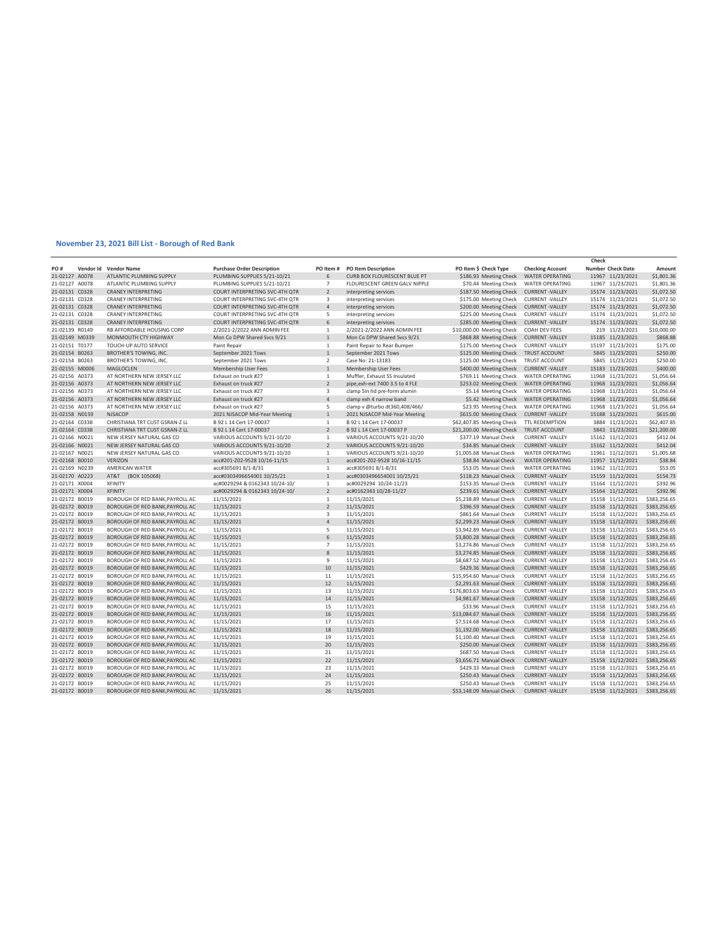|                |           |                                 |                                   |                         |                                 |                           |                         | Check                    |              |
|----------------|-----------|---------------------------------|-----------------------------------|-------------------------|---------------------------------|---------------------------|-------------------------|--------------------------|--------------|
| PO#            | Vendor Id | <b>Vendor Name</b>              | <b>Purchase Order Description</b> | PO Item#                | <b>PO Item Description</b>      | PO Item \$ Check Type     | <b>Checking Account</b> | <b>Number Check Date</b> | Amount       |
| 21-02127       | A0078     | ATLANTIC PLUMBING SUPPLY        | PLUMBING SUPPLIES 5/21-10/21      | 6                       | CURB BOX FLOURESCENT BLUE PT    | \$186.93 Meeting Check    | <b>WATER OPERATING</b>  | 11967 11/23/2021         | \$1,801.36   |
| 21-02127 A0078 |           | ATLANTIC PLUMBING SUPPLY        | PLUMBING SUPPLIES 5/21-10/21      | $\overline{7}$          | FLOURESCENT GREEN GALV NIPPLE   | \$70.44 Meeting Check     | <b>WATER OPERATING</b>  | 11967 11/23/2021         | \$1,801.36   |
| 21-02131 C0328 |           | <b>CRANEY INTERPRETING</b>      | COURT INTERPRETING SVC-4TH QTR    | $\overline{2}$          | interpreting services           | \$187.50 Meeting Check    | <b>CURRENT - VALLEY</b> | 15174 11/23/2021         | \$1,072.50   |
| 21-02131 C0328 |           | <b>CRANEY INTERPRETING</b>      | COURT INTERPRETING SVC-4TH QTR    | 3                       | interpreting services           | \$175.00 Meeting Check    | <b>CURRENT - VALLEY</b> | 15174 11/23/2021         | \$1,072.50   |
| 21-02131 C0328 |           | <b>CRANEY INTERPRETING</b>      | COURT INTERPRETING SVC-4TH OTR    | $\overline{4}$          | interpreting services           | \$200.00 Meeting Check    | <b>CURRENT-VALLEY</b>   | 15174 11/23/2021         | \$1,072.50   |
| 21-02131 C0328 |           | <b>CRANEY INTERPRETING</b>      | COURT INTERPRETING SVC-4TH QTR    | 5                       | interpreting services           | \$225.00 Meeting Check    | <b>CURRENT -VALLEY</b>  | 15174 11/23/2021         | \$1,072.50   |
| 21-02131 C0328 |           | <b>CRANEY INTERPRETING</b>      | COURT INTERPRETING SVC-4TH QTR    | 6                       | interpreting services           | \$285.00 Meeting Check    | <b>CURRENT-VALLEY</b>   | 15174 11/23/2021         | \$1,072.50   |
| 21-02139 R0149 |           | RB AFFORDABLE HOUSING CORP      | 2/2021-2/2022 ANN ADMIN FEE       | 1                       | 2/2021-2/2022 ANN ADMIN FEE     | \$10,000.00 Meeting Check | COAH DEV FEES           | 219 11/23/2021           | \$10,000.00  |
| 21-02149 M0339 |           | MONMOUTH CTY HIGHWAY            | Mon Co DPW Shared Svcs 9/21       | $\mathbf{1}$            | Mon Co DPW Shared Svcs 9/21     | \$868.88 Meeting Check    | <b>CURRENT-VALLEY</b>   | 15185 11/23/2021         | \$868.88     |
| 21-02151 T0177 |           | TOUCH-UP AUTO SERVICE           | Paint Repair                      | 1                       | Paint Repair to Rear Bumper     | \$175.00 Meeting Check    | <b>CURRENT - VALLEY</b> | 15197 11/23/2021         | \$175.00     |
| 21-02154 B0263 |           | BROTHER'S TOWING, INC.          | September 2021 Tows               | $\mathbf{1}$            | September 2021 Tows             | \$125.00 Meeting Check    | TRUST ACCOUNT           | 5845 11/23/2021          | \$250.00     |
| 21-02154 B0263 |           | BROTHER'S TOWING, INC.          | September 2021 Tows               | $\overline{2}$          | Case No: 21-13183               | \$125.00 Meeting Check    | TRUST ACCOUNT           | 5845 11/23/2021          | \$250.00     |
| 21-02155 M0006 |           | MAGLOCLEN                       | Membership User Fees              | $\mathbf{1}$            | Membership User Fees            | \$400.00 Meeting Check    | <b>CURRENT-VALLEY</b>   | 15183 11/23/2021         | \$400.00     |
| 21-02156 A0373 |           | AT NORTHERN NEW JERSEY LLC      | Exhaust on truck #27              | $\mathbf{1}$            | Muffler, Exhaust SS Insulated   | \$769.11 Meeting Check    | <b>WATER OPERATING</b>  | 11968 11/23/2021         | \$1,056.64   |
| 21-02156 A0373 |           | AT NORTHERN NEW JERSEY LLC      | Exhaust on truck #27              | $\overline{2}$          | pipe, exh-ext 7400 3.5 to 4 FLE | \$253.02 Meeting Check    | <b>WATER OPERATING</b>  | 11968 11/23/2021         | \$1,056.64   |
| 21-02156 A0373 |           | AT NORTHERN NEW JERSEY LLC      | Exhaust on truck #27              | $\overline{\mathbf{3}}$ | clamp 5in hd pre-form alumin    | \$5.14 Meeting Check      | <b>WATER OPERATING</b>  | 11968 11/23/2021         | \$1,056.64   |
| 21-02156 A0373 |           | AT NORTHERN NEW JERSEY LLC      | Exhaust on truck #27              | $\overline{4}$          | clamp exh 4 narrow band         | \$5.42 Meeting Check      | <b>WATER OPERATING</b>  | 11968 11/23/2021         | \$1,056.64   |
| 21-02156 A0373 |           | AT NORTHERN NEW JERSEY LLC      | Exhaust on truck #27              | $\overline{5}$          | clamp v @turbo dt360,408/466/   | \$23.95 Meeting Check     | <b>WATER OPERATING</b>  | 11968 11/23/2021         | \$1,056.64   |
| 21-02158 N0159 |           | <b>NJSACOP</b>                  | 2021 NJSACOP Mid-Year Meeting     | $\mathbf{1}$            | 2021 NJSACOP Mid-Year Meeting   | \$615.00 Meeting Check    | <b>CURRENT - VALLEY</b> | 15188 11/23/2021         | \$615.00     |
| 21-02164 C0338 |           | CHRISTIANA TRT CUST GSRAN-Z LL  | B 92 L 14 Cert 17-00037           | $\mathbf{1}$            | B 92 L 14 Cert 17-00037         | \$62,407.85 Meeting Check | TTL REDEMPTION          | 3884 11/23/2021          | \$62,407.85  |
| 21-02164 C0338 |           | CHRISTIANA TRT CUST GSRAN-Z LL  | B 92 L 14 Cert 17-00037           | $\overline{2}$          | B 92 L 14 Cert 17-00037 P       | \$21,200.00 Meeting Check | TRUST ACCOUNT           | 5843 11/23/2021          | \$21,200.00  |
| 21-02166 N0021 |           | NEW JERSEY NATURAL GAS CO       | VARIOUS ACCOUNTS 9/21-10/20       | $\mathbf{1}$            | VARIOUS ACCOUNTS 9/21-10/20     | \$377.19 Manual Check     | <b>CURRENT -VALLEY</b>  | 15162 11/12/2021         | \$412.04     |
| 21-02166 N0021 |           | NEW JERSEY NATURAL GAS CO       | VARIOUS ACCOUNTS 9/21-10/20       | $\overline{2}$          | VARIOUS ACCOUNTS 9/21-10/20     | \$34.85 Manual Check      | <b>CURRENT - VALLEY</b> | 15162 11/12/2021         | \$412.04     |
| 21-02167 N0021 |           | NEW JERSEY NATURAL GAS CO       | VARIOUS ACCOUNTS 9/21-10/20       | $\mathbf{1}$            | VARIOUS ACCOUNTS 9/21-10/20     | \$1,005.68 Manual Check   | <b>WATER OPERATING</b>  | 11961 11/12/2021         | \$1,005.68   |
| 21-02168 B0010 |           | <b>VERIZON</b>                  | acc#201-Z02-9528 10/16-11/15      | $\mathbf{1}$            | acc#201-Z02-9528 10/16-11/15    | \$38.84 Manual Check      | <b>WATER OPERATING</b>  | 11957 11/12/2021         | \$38.84      |
| 21-02169 N0239 |           | AMERICAN WATER                  | acc#3056918/1-8/31                | $\mathbf{1}$            | acc#3056918/1-8/31              | \$53.05 Manual Check      | <b>WATER OPERATING</b>  | 11962 11/12/2021         | \$53.05      |
| 21-02170 A0223 |           | AT&T<br>(BOX 105068)            | acc#0303496654001 10/25/21        | $\mathbf{1}$            | acc#0303496654001 10/25/21      | \$118.23 Manual Check     | <b>CURRENT - VALLEY</b> | 15159 11/12/2021         | \$154.73     |
| 21-02171 X0004 |           | <b>XFINITY</b>                  | ac#0029294 & 0162343 10/24-10/    | $\mathbf{1}$            | ac#0029294 10/24-11/23          | \$153.35 Manual Check     | <b>CURRENT -VALLEY</b>  | 15164 11/12/2021         | \$392.96     |
| 21-02171 X0004 |           | <b>XFINITY</b>                  | ac#0029294 & 0162343 10/24-10/    | $\overline{2}$          | ac#0162343 10/28-11/27          | \$239.61 Manual Check     | <b>CURRENT-VALLEY</b>   | 15164 11/12/2021         | \$392.96     |
| 21-02172 B0019 |           | BOROUGH OF RED BANK, PAYROLL AC | 11/15/2021                        | 1                       | 11/15/2021                      | \$5,238.89 Manual Check   | <b>CURRENT -VALLEY</b>  | 15158 11/12/2021         | \$383,256.65 |
| 21-02172 B0019 |           | BOROUGH OF RED BANK, PAYROLL AC | 11/15/2021                        | $\overline{2}$          | 11/15/2021                      | \$396.59 Manual Check     | <b>CURRENT-VALLEY</b>   | 15158 11/12/2021         | \$383,256.65 |
| 21-02172 B0019 |           | BOROUGH OF RED BANK, PAYROLL AC | 11/15/2021                        | 3                       | 11/15/2021                      | \$861.64 Manual Check     | <b>CURRENT -VALLEY</b>  | 15158 11/12/2021         | \$383,256.65 |
| 21-02172 B0019 |           | BOROUGH OF RED BANK, PAYROLL AC | 11/15/2021                        | $\overline{4}$          | 11/15/2021                      | \$2,299.23 Manual Check   | <b>CURRENT - VALLEY</b> | 15158 11/12/2021         | \$383,256.65 |
| 21-02172 B0019 |           | BOROUGH OF RED BANK, PAYROLL AC | 11/15/2021                        | 5                       | 11/15/2021                      | \$3.942.89 Manual Check   | <b>CURRENT - VALLEY</b> | 15158 11/12/2021         | \$383,256.65 |
| 21-02172 B0019 |           | BOROUGH OF RED BANK, PAYROLL AC | 11/15/2021                        | 6                       | 11/15/2021                      | \$3,800.28 Manual Check   | <b>CURRENT-VALLEY</b>   | 15158 11/12/2021         | \$383,256.65 |
| 21-02172 B0019 |           | BOROUGH OF RED BANK, PAYROLL AC | 11/15/2021                        | $\overline{7}$          | 11/15/2021                      | \$3,274.86 Manual Check   | <b>CURRENT - VALLEY</b> | 15158 11/12/2021         | \$383,256.65 |
| 21-02172 B0019 |           | BOROUGH OF RED BANK, PAYROLL AC | 11/15/2021                        | $\mathbf{8}$            | 11/15/2021                      | \$3,274.85 Manual Check   | <b>CURRENT - VALLEY</b> | 15158 11/12/2021         | \$383,256.65 |
| 21-02172 B0019 |           | BOROUGH OF RED BANK, PAYROLL AC | 11/15/2021                        | 9                       | 11/15/2021                      | \$8.687.52 Manual Check   | <b>CURRENT-VALLEY</b>   | 15158 11/12/2021         | \$383,256.65 |
| 21-02172 B0019 |           | BOROUGH OF RED BANK, PAYROLL AC | 11/15/2021                        | 10                      | 11/15/2021                      | \$429.36 Manual Check     | <b>CURRENT - VALLEY</b> | 15158 11/12/2021         | \$383,256.65 |
| 21-02172 B0019 |           | BOROUGH OF RED BANK, PAYROLL AC | 11/15/2021                        | 11                      | 11/15/2021                      | \$15,954.60 Manual Check  | <b>CURRENT-VALLEY</b>   | 15158 11/12/2021         | \$383,256.65 |
| 21-02172 B0019 |           | BOROUGH OF RED BANK, PAYROLL AC | 11/15/2021                        | 12                      | 11/15/2021                      | \$2,291.63 Manual Check   | <b>CURRENT-VALLEY</b>   | 15158 11/12/2021         | \$383,256.65 |
| 21-02172 B0019 |           | BOROUGH OF RED BANK, PAYROLL AC | 11/15/2021                        | 13                      | 11/15/2021                      | \$176,803.63 Manual Check | <b>CURRENT -VALLEY</b>  | 15158 11/12/2021         | \$383,256.65 |
| 21-02172 B0019 |           | BOROUGH OF RED BANK, PAYROLL AC | 11/15/2021                        | 14                      | 11/15/2021                      | \$4,981.67 Manual Check   | <b>CURRENT - VALLEY</b> | 15158 11/12/2021         | \$383,256.65 |
| 21-02172 B0019 |           | BOROUGH OF RED BANK, PAYROLL AC | 11/15/2021                        | 15                      | 11/15/2021                      | \$33.96 Manual Check      | <b>CURRENT -VALLEY</b>  | 15158 11/12/2021         | \$383,256.65 |
| 21-02172 B0019 |           | BOROUGH OF RED BANK, PAYROLL AC | 11/15/2021                        | 16                      | 11/15/2021                      | \$13,084.67 Manual Check  | <b>CURRENT - VALLEY</b> | 15158 11/12/2021         | \$383,256.65 |
| 21-02172 B0019 |           | BOROUGH OF RED BANK, PAYROLL AC | 11/15/2021                        | 17                      | 11/15/2021                      | \$7,514.68 Manual Check   | <b>CURRENT - VALLEY</b> | 15158 11/12/2021         | \$383,256.65 |
| 21-02172 B0019 |           | BOROUGH OF RED BANK, PAYROLL AC | 11/15/2021                        | 18                      | 11/15/2021                      | \$1.192.00 Manual Check   | <b>CURRENT-VALLEY</b>   | 15158 11/12/2021         | \$383,256.65 |
| 21-02172 B0019 |           | BOROUGH OF RED BANK, PAYROLL AC | 11/15/2021                        | 19                      | 11/15/2021                      | \$1,100.40 Manual Check   | <b>CURRENT -VALLEY</b>  | 15158 11/12/2021         | \$383,256.65 |
| 21-02172 B0019 |           | BOROUGH OF RED BANK, PAYROLL AC | 11/15/2021                        | 20                      | 11/15/2021                      | \$250.00 Manual Check     | <b>CURRENT-VALLEY</b>   | 15158 11/12/2021         | \$383,256.65 |
| 21-02172 B0019 |           | BOROUGH OF RED BANK, PAYROLL AC | 11/15/2021                        | 21                      | 11/15/2021                      | \$687.50 Manual Check     | <b>CURRENT - VALLEY</b> | 15158 11/12/2021         | \$383,256.65 |
| 21-02172 B0019 |           | BOROUGH OF RED BANK, PAYROLL AC | 11/15/2021                        | 22                      | 11/15/2021                      | \$3,656.71 Manual Check   | <b>CURRENT-VALLEY</b>   | 15158 11/12/2021         | \$383,256.65 |
| 21-02172 B0019 |           | BOROUGH OF RED BANK, PAYROLL AC | 11/15/2021                        | 23                      | 11/15/2021                      | \$429.33 Manual Check     | <b>CURRENT -VALLEY</b>  | 15158 11/12/2021         | \$383,256.65 |
| 21-02172 B0019 |           | BOROUGH OF RED BANK, PAYROLL AC |                                   | 24                      |                                 | \$250.43 Manual Check     | <b>CURRENT-VALLEY</b>   | 15158 11/12/2021         | \$383,256.65 |
| 21-02172 B0019 |           | BOROUGH OF RED BANK, PAYROLL AC | 11/15/2021<br>11/15/2021          | 25                      | 11/15/2021<br>11/15/2021        | \$250.43 Manual Check     | <b>CURRENT - VALLEY</b> | 15158 11/12/2021         | \$383,256.65 |
| 21-02172 B0019 |           | BOROUGH OF RED BANK, PAYROLL AC | 11/15/2021                        | 26                      | 11/15/2021                      | \$53,148.09 Manual Check  | <b>CURRENT-VALLEY</b>   | 15158 11/12/2021         | \$383,256.65 |
|                |           |                                 |                                   |                         |                                 |                           |                         |                          |              |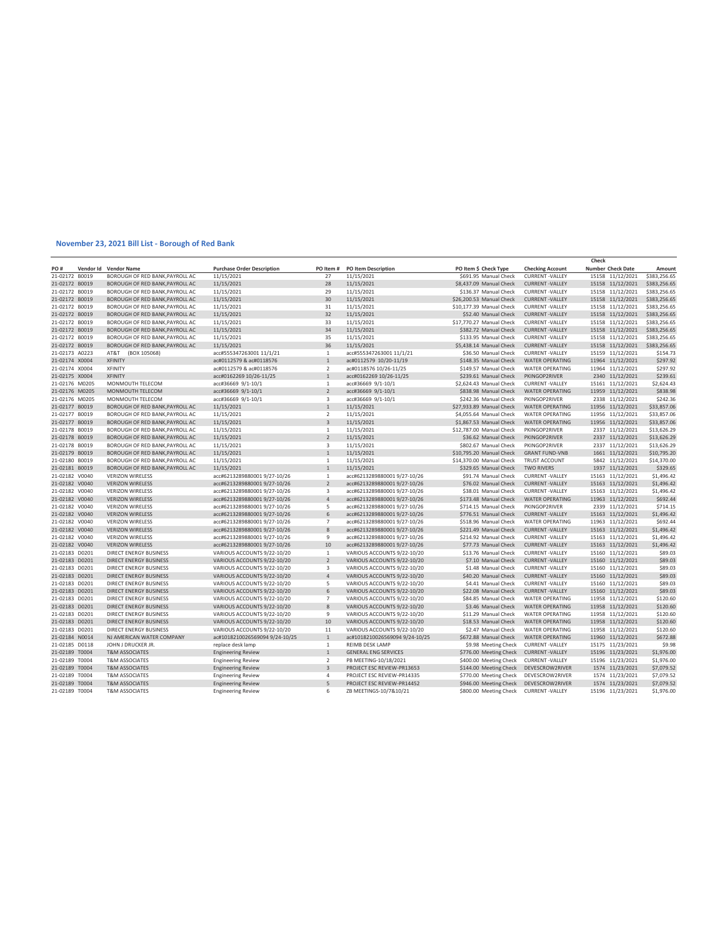|                |           |                                 |                                   |                         |                                |                          |                         | Check                    |              |
|----------------|-----------|---------------------------------|-----------------------------------|-------------------------|--------------------------------|--------------------------|-------------------------|--------------------------|--------------|
| PO#            | Vendor Id | <b>Vendor Name</b>              | <b>Purchase Order Description</b> | PO Item#                | <b>PO Item Description</b>     | PO Item \$ Check Type    | <b>Checking Account</b> | <b>Number Check Date</b> | Amount       |
| 21-02172 B0019 |           | BOROUGH OF RED BANK, PAYROLL AC | 11/15/2021                        | 27                      | 11/15/2021                     | \$691.95 Manual Check    | <b>CURRENT-VALLEY</b>   | 15158 11/12/2021         | \$383,256.65 |
| 21-02172 B0019 |           | BOROUGH OF RED BANK, PAYROLL AC | 11/15/2021                        | 28                      | 11/15/2021                     | \$8,437.09 Manual Check  | <b>CURRENT-VALLEY</b>   | 15158 11/12/2021         | \$383,256.65 |
| 21-02172 B0019 |           | BOROUGH OF RED BANK, PAYROLL AC | 11/15/2021                        | 29                      | 11/15/2021                     | \$136.37 Manual Check    | <b>CURRENT -VALLEY</b>  | 15158 11/12/2021         | \$383,256.65 |
| 21-02172 B0019 |           | BOROUGH OF RED BANK, PAYROLL AC | 11/15/2021                        | 30                      | 11/15/2021                     | \$26,200.53 Manual Check | <b>CURRENT-VALLEY</b>   | 15158 11/12/2021         | \$383,256.65 |
| 21-02172 B0019 |           | BOROUGH OF RED BANK, PAYROLL AC | 11/15/2021                        | 31                      | 11/15/2021                     | \$10,177.39 Manual Check | <b>CURRENT-VALLEY</b>   | 15158 11/12/2021         | \$383,256.65 |
| 21-02172 B0019 |           | BOROUGH OF RED BANK, PAYROLL AC | 11/15/2021                        | 32                      | 11/15/2021                     | \$52.40 Manual Check     | <b>CURRENT-VALLEY</b>   | 15158 11/12/2021         | \$383,256.65 |
| 21-02172 B0019 |           | BOROUGH OF RED BANK, PAYROLL AC | 11/15/2021                        | 33                      | 11/15/2021                     | \$17,770.27 Manual Check | <b>CURRENT -VALLEY</b>  | 15158 11/12/2021         | \$383,256.65 |
| 21-02172 B0019 |           | BOROUGH OF RED BANK, PAYROLL AC | 11/15/2021                        | 34                      | 11/15/2021                     | \$382.72 Manual Check    | <b>CURRENT - VALLEY</b> | 15158 11/12/2021         | \$383,256.65 |
| 21-02172 B0019 |           | BOROUGH OF RED BANK, PAYROLL AC | 11/15/2021                        | 35                      | 11/15/2021                     | \$133.95 Manual Check    | <b>CURRENT - VALLEY</b> | 15158 11/12/2021         | \$383,256.65 |
| 21-02172 B0019 |           | BOROUGH OF RED BANK, PAYROLL AC | 11/15/2021                        | 36                      | 11/15/2021                     | \$5,438.14 Manual Check  | <b>CURRENT - VALLEY</b> | 15158 11/12/2021         | \$383,256.65 |
| 21-02173 A0223 |           | AT&T<br>(BOX 105068)            | acc#555347263001 11/1/21          | 1                       | acc#555347263001 11/1/21       | \$36.50 Manual Check     | <b>CURRENT -VALLEY</b>  | 15159 11/12/2021         | \$154.73     |
| 21-02174 X0004 |           | <b>XFINITY</b>                  | ac#0112579 & ac#0118576           | $\mathbf{1}$            | ac#0112579 10/20-11/19         | \$148.35 Manual Check    | <b>WATER OPERATING</b>  | 11964 11/12/2021         | \$297.92     |
| 21-02174 X0004 |           | <b>XFINITY</b>                  | ac#0112579 & ac#0118576           | $\overline{2}$          | ac#0118576 10/26-11/25         | \$149.57 Manual Check    | <b>WATER OPERATING</b>  | 11964 11/12/2021         | \$297.92     |
| 21-02175 X0004 |           | <b>XFINITY</b>                  | acc#0162269 10/26-11/25           | $\mathbf{1}$            | acc#0162269 10/26-11/25        | \$239.61 Manual Check    | PKINGOP2RIVER           | 2340 11/12/2021          | \$239.61     |
| 21-02176 M0205 |           | MONMOUTH TELECOM                | acc#36669 9/1-10/1                | $\mathbf{1}$            | acc#36669 9/1-10/1             | \$2,624.43 Manual Check  | <b>CURRENT -VALLEY</b>  | 15161 11/12/2021         | \$2,624.43   |
| 21-02176 M0205 |           | MONMOUTH TELECOM                | acc#36669 9/1-10/1                | $\overline{2}$          | acc#36669 9/1-10/1             | \$838.98 Manual Check    | <b>WATER OPERATING</b>  | 11959 11/12/2021         | \$838.98     |
| 21-02176 M0205 |           | MONMOUTH TELECOM                | acc#36669 9/1-10/1                | 3                       | acc#36669 9/1-10/1             | \$242.36 Manual Check    | PKINGOP2RIVER           | 2338 11/12/2021          | \$242.36     |
| 21-02177 B0019 |           | BOROUGH OF RED BANK, PAYROLL AC | 11/15/2021                        | $\mathbf 1$             | 11/15/2021                     | \$27,933.89 Manual Check | <b>WATER OPERATING</b>  | 11956 11/12/2021         | \$33,857.06  |
| 21-02177 B0019 |           | BOROUGH OF RED BANK, PAYROLL AC | 11/15/2021                        | $\overline{2}$          | 11/15/2021                     | \$4,055.64 Manual Check  | <b>WATER OPERATING</b>  | 11956 11/12/2021         | \$33,857.06  |
| 21-02177 B0019 |           | BOROUGH OF RED BANK, PAYROLL AC | 11/15/2021                        | $\mathsf 3$             | 11/15/2021                     | \$1,867.53 Manual Check  | <b>WATER OPERATING</b>  | 11956 11/12/2021         | \$33,857.06  |
| 21-02178 B0019 |           | BOROUGH OF RED BANK, PAYROLL AC | 11/15/2021                        | $\mathbf{1}$            | 11/15/2021                     | \$12,787.00 Manual Check | PKINGOP2RIVER           | 2337 11/12/2021          | \$13,626.29  |
| 21-02178 B0019 |           | BOROUGH OF RED BANK, PAYROLL AC | 11/15/2021                        | $\overline{2}$          | 11/15/2021                     | \$36.62 Manual Check     | PKINGOP2RIVER           | 2337 11/12/2021          | \$13,626.29  |
| 21-02178 B0019 |           | BOROUGH OF RED BANK, PAYROLL AC | 11/15/2021                        | 3                       | 11/15/2021                     | \$802.67 Manual Check    | PKINGOP2RIVER           | 2337 11/12/2021          | \$13,626.29  |
| 21-02179 B0019 |           | BOROUGH OF RED BANK, PAYROLL AC | 11/15/2021                        | $\mathbf{1}$            | 11/15/2021                     | \$10,795.20 Manual Check | <b>GRANT FUND-VNB</b>   | 1661 11/12/2021          | \$10,795.20  |
| 21-02180 B0019 |           | BOROUGH OF RED BANK, PAYROLL AC | 11/15/2021                        | 1                       | 11/15/2021                     | \$14,370.00 Manual Check | TRUST ACCOUNT           | 5842 11/12/2021          | \$14,370.00  |
| 21-02181 B0019 |           | BOROUGH OF RED BANK, PAYROLL AC | 11/15/2021                        | $\mathbf{1}$            | 11/15/2021                     | \$329.65 Manual Check    | <b>TWO RIVERS</b>       | 1937 11/12/2021          | \$329.65     |
| 21-02182 V0040 |           | <b>VERIZON WIRELESS</b>         | acc#6213289880001 9/27-10/26      | 1                       | acc#62132898800019/27-10/26    | \$91.74 Manual Check     | <b>CURRENT -VALLEY</b>  | 15163 11/12/2021         | \$1,496.42   |
| 21-02182 V0040 |           | <b>VERIZON WIRELESS</b>         | acc#6213289880001 9/27-10/26      | $\overline{2}$          | acc#62132898800019/27-10/26    | \$76.02 Manual Check     | <b>CURRENT-VALLEY</b>   | 15163 11/12/2021         | \$1,496.42   |
| 21-02182 V0040 |           | <b>VERIZON WIRELESS</b>         | acc#6213289880001 9/27-10/26      | 3                       | acc#62132898800019/27-10/26    | \$38.01 Manual Check     | <b>CURRENT - VALLEY</b> | 15163 11/12/2021         | \$1,496.42   |
| 21-02182 V0040 |           | <b>VERIZON WIRELESS</b>         | acc#62132898800019/27-10/26       | $\overline{4}$          | acc#62132898800019/27-10/26    | \$173.48 Manual Check    | <b>WATER OPERATING</b>  | 11963 11/12/2021         | \$692.44     |
| 21-02182 V0040 |           | <b>VERIZON WIRELESS</b>         | acc#6213289880001 9/27-10/26      | 5                       | acc#62132898800019/27-10/26    | \$714.15 Manual Check    | PKINGOP2RIVER           | 2339 11/12/2021          | \$714.15     |
| 21-02182 V0040 |           | <b>VERIZON WIRELESS</b>         | acc#62132898800019/27-10/26       | 6                       | acc#62132898800019/27-10/26    | \$776.51 Manual Check    | <b>CURRENT-VALLEY</b>   | 15163 11/12/2021         | \$1,496.42   |
| 21-02182 V0040 |           | <b>VERIZON WIRELESS</b>         | acc#62132898800019/27-10/26       | $\overline{7}$          | acc#62132898800019/27-10/26    | \$518.96 Manual Check    | <b>WATER OPERATING</b>  | 11963 11/12/2021         | \$692.44     |
| 21-02182 V0040 |           | <b>VERIZON WIRELESS</b>         | acc#62132898800019/27-10/26       | 8                       | acc#62132898800019/27-10/26    | \$221.49 Manual Check    | <b>CURRENT-VALLEY</b>   | 15163 11/12/2021         | \$1,496.42   |
| 21-02182 V0040 |           | <b>VERIZON WIRELESS</b>         | acc#6213289880001 9/27-10/26      | 9                       | acc#62132898800019/27-10/26    | \$214.92 Manual Check    | <b>CURRENT - VALLEY</b> | 15163 11/12/2021         | \$1,496.42   |
| 21-02182 V0040 |           | <b>VERIZON WIRELESS</b>         | acc#6213289880001 9/27-10/26      | 10                      | acc#62132898800019/27-10/26    | \$77.73 Manual Check     | <b>CURRENT-VALLEY</b>   | 15163 11/12/2021         | \$1,496.42   |
| 21-02183 D0201 |           | <b>DIRECT ENERGY BUSINESS</b>   | VARIOUS ACCOUNTS 9/22-10/20       | $\mathbf{1}$            | VARIOUS ACCOUNTS 9/22-10/20    | \$13.76 Manual Check     | <b>CURRENT -VALLEY</b>  | 15160 11/12/2021         | \$89.03      |
| 21-02183 D0201 |           | <b>DIRECT ENERGY BUSINESS</b>   | VARIOUS ACCOUNTS 9/22-10/20       | $\overline{2}$          | VARIOUS ACCOUNTS 9/22-10/20    | \$7.10 Manual Check      | <b>CURRENT-VALLEY</b>   | 15160 11/12/2021         | \$89.03      |
| 21-02183 D0201 |           | <b>DIRECT ENERGY BUSINESS</b>   | VARIOUS ACCOUNTS 9/22-10/20       | 3                       | VARIOUS ACCOUNTS 9/22-10/20    | \$1.48 Manual Check      | <b>CURRENT -VALLEY</b>  | 15160 11/12/2021         | \$89.03      |
| 21-02183 D0201 |           | <b>DIRECT ENERGY BUSINESS</b>   | VARIOUS ACCOUNTS 9/22-10/20       | $\overline{4}$          | VARIOUS ACCOUNTS 9/22-10/20    | \$40.20 Manual Check     | <b>CURRENT-VALLEY</b>   | 15160 11/12/2021         | \$89.03      |
| 21-02183 D0201 |           | <b>DIRECT ENERGY BUSINESS</b>   | VARIOUS ACCOUNTS 9/22-10/20       | 5                       | VARIOUS ACCOUNTS 9/22-10/20    | \$4.41 Manual Check      | <b>CURRENT-VALLEY</b>   | 15160 11/12/2021         | \$89.03      |
| 21-02183 D0201 |           | <b>DIRECT ENERGY BUSINESS</b>   | VARIOUS ACCOUNTS 9/22-10/20       | 6                       | VARIOUS ACCOUNTS 9/22-10/20    | \$22.08 Manual Check     | <b>CURRENT - VALLEY</b> | 15160 11/12/2021         | \$89.03      |
| 21-02183 D0201 |           | <b>DIRECT ENERGY BUSINESS</b>   | VARIOUS ACCOUNTS 9/22-10/20       | $\overline{7}$          | VARIOUS ACCOUNTS 9/22-10/20    | \$84.85 Manual Check     | <b>WATER OPERATING</b>  | 11958 11/12/2021         | \$120.60     |
| 21-02183 D0201 |           | <b>DIRECT ENERGY BUSINESS</b>   | VARIOUS ACCOUNTS 9/22-10/20       | 8                       | VARIOUS ACCOUNTS 9/22-10/20    | \$3.46 Manual Check      | <b>WATER OPERATING</b>  | 11958 11/12/2021         | \$120.60     |
| 21-02183 D0201 |           | <b>DIRECT ENERGY BUSINESS</b>   | VARIOUS ACCOUNTS 9/22-10/20       | 9                       | VARIOUS ACCOUNTS 9/22-10/20    | \$11.29 Manual Check     | <b>WATER OPERATING</b>  | 11958 11/12/2021         | \$120.60     |
| 21-02183 D0201 |           | <b>DIRECT ENERGY BUSINESS</b>   | VARIOUS ACCOUNTS 9/22-10/20       | 10                      | VARIOUS ACCOUNTS 9/22-10/20    | \$18.53 Manual Check     | <b>WATER OPERATING</b>  | 11958 11/12/2021         | \$120.60     |
| 21-02183 D0201 |           | <b>DIRECT ENERGY BUSINESS</b>   | VARIOUS ACCOUNTS 9/22-10/20       | 11                      | VARIOUS ACCOUNTS 9/22-10/20    | \$2.47 Manual Check      | <b>WATER OPERATING</b>  | 11958 11/12/2021         | \$120.60     |
| 21-02184 N0014 |           | NJ AMERICAN WATER COMPANY       | ac#1018210026569094 9/24-10/25    | $\mathbf{1}$            | ac#1018210026569094 9/24-10/25 | \$672.88 Manual Check    | <b>WATER OPERATING</b>  | 11960 11/12/2021         | \$672.88     |
| 21-02185 D0118 |           | JOHN J DRUCKER JR.              | replace desk lamp                 | $\mathbf{1}$            | REIMB DESK LAMP                | \$9.98 Meeting Check     | <b>CURRENT -VALLEY</b>  | 15175 11/23/2021         | \$9.98       |
| 21-02189 T0004 |           | <b>T&amp;M ASSOCIATES</b>       | <b>Engineering Review</b>         | $\,1\,$                 | <b>GENERAL ENG SERVICES</b>    | \$776.00 Meeting Check   | <b>CURRENT-VALLEY</b>   | 15196 11/23/2021         | \$1,976.00   |
| 21-02189 T0004 |           | <b>T&amp;M ASSOCIATES</b>       | <b>Engineering Review</b>         | $\overline{2}$          | PB MEETING-10/18/2021          | \$400.00 Meeting Check   | <b>CURRENT -VALLEY</b>  | 15196 11/23/2021         | \$1,976.00   |
| 21-02189 T0004 |           | <b>T&amp;M ASSOCIATES</b>       | <b>Engineering Review</b>         | $\overline{\mathbf{3}}$ | PROJECT ESC REVIEW-PR13653     | \$144.00 Meeting Check   | DEVESCROW2RIVER         | 1574 11/23/2021          | \$7,079.52   |
| 21-02189 T0004 |           | <b>T&amp;M ASSOCIATES</b>       | <b>Engineering Review</b>         | $\sqrt{4}$              | PROJECT ESC REVIEW-PR14335     | \$770.00 Meeting Check   | DEVESCROW2RIVER         | 1574 11/23/2021          | \$7,079.52   |
| 21-02189 T0004 |           | <b>T&amp;M ASSOCIATES</b>       | <b>Engineering Review</b>         | 5                       | PROJECT ESC REVIEW-PR14452     | \$946.00 Meeting Check   | DEVESCROW2RIVER         | 1574 11/23/2021          | \$7,079.52   |
| 21-02189 T0004 |           | <b>T&amp;M ASSOCIATES</b>       | <b>Engineering Review</b>         | 6                       | ZB MEETINGS-10/7&10/21         | \$800.00 Meeting Check   | <b>CURRENT-VALLEY</b>   | 15196 11/23/2021         | \$1,976.00   |
|                |           |                                 |                                   |                         |                                |                          |                         |                          |              |